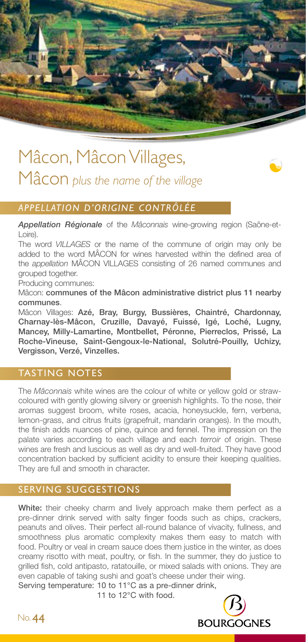

# Mâcon, Mâcon Villages, Mâcon *plus the name of the village*



# *APPELLATION D'ORIGINE CONTRÔLÉE*

*Appellation Régionale* of the *Mâconnais* wine-growing region (Saône-et-Loire).

The word *VILLAGES* or the name of the commune of origin may only be added to the word MÂCON for wines harvested within the defined area of the *appellation* MÂCON VILLAGES consisting of 26 named communes and grouped together.

Producing communes:

Mâcon: communes of the Mâcon administrative district plus 11 nearby communes.

Mâcon Villages: Azé, Bray, Burgy, Bussières, Chaintré, Chardonnay, Charnay-lès-Mâcon, Cruzille, Davayé, Fuissé, Igé, Loché, Lugny, Mancey, Milly-Lamartine, Montbellet, Péronne, Pierreclos, Prissé, La Roche-Vineuse, Saint-Gengoux-le-National, Solutré-Pouilly, Uchizy, Vergisson, Verzé, Vinzelles.

# TASTING NOTES

The *Mâconnais* white wines are the colour of white or yellow gold or strawcoloured with gently glowing silvery or greenish highlights. To the nose, their aromas suggest broom, white roses, acacia, honeysuckle, fern, verbena, lemon-grass, and citrus fruits (grapefruit, mandarin oranges). In the mouth, the finish adds nuances of pine, quince and fennel. The impression on the palate varies according to each village and each *terroir* of origin. These wines are fresh and luscious as well as dry and well-fruited. They have good concentration backed by sufficient acidity to ensure their keeping qualities. They are full and smooth in character.

# SERVING SUGGESTIONS

White: their cheeky charm and lively approach make them perfect as a pre-dinner drink served with salty finger foods such as chips, crackers, peanuts and olives. Their perfect all-round balance of vivacity, fullness, and smoothness plus aromatic complexity makes them easy to match with food. Poultry or veal in cream sauce does them justice in the winter, as does creamy risotto with meat, poultry, or fish. In the summer, they do justice to grilled fish, cold antipasto, ratatouille, or mixed salads with onions. They are even capable of taking sushi and goat's cheese under their wing. Serving temperature: 10 to 11°C as a pre-dinner drink,

11 to 12°C with food.

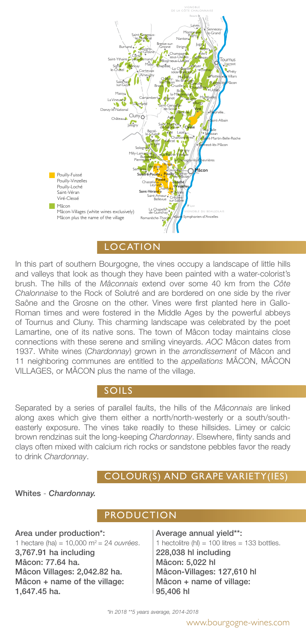

LOCATION

In this part of southern Bourgogne, the vines occupy a landscape of little hills and valleys that look as though they have been painted with a water-colorist's brush. The hills of the *Mâconnais* extend over some 40 km from the *Côte Chalonnaise* to the Rock of Solutré and are bordered on one side by the river Saône and the Grosne on the other. Vines were first planted here in Gallo-Roman times and were fostered in the Middle Ages by the powerful abbeys of Tournus and Cluny. This charming landscape was celebrated by the poet Lamartine, one of its native sons. The town of Mâcon today maintains close connections with these serene and smiling vineyards. *AOC* Mâcon dates from 1937. White wines (*Chardonnay*) grown in the *arrondissement* of Mâcon and 11 neighboring communes are entitled to the *appellations* MÂCON, MÂCON VILLAGES, or MÂCON plus the name of the village.

#### SOILS

Separated by a series of parallel faults, the hills of the *Mâconnais* are linked along axes which give them either a north/north-westerly or a south/southeasterly exposure. The vines take readily to these hillsides. Limey or calcic brown rendzinas suit the long-keeping *Chardonnay*. Elsewhere, flinty sands and clays often mixed with calcium rich rocks or sandstone pebbles favor the ready to drink *Chardonnay*.

# COLOUR(S) AND GRAPE VARIETY(IES)

#### Whites - *Chardonnay.*

### **PRODUCTION**

Area under production\*: 1 hectare (ha) = 10,000 m2 = 24 *ouvrées*. 3,767.91 ha including Mâcon: 77.64 ha. Mâcon Villages: 2,042.82 ha. Mâcon + name of the village: 1,647.45 ha.

Average annual yield\*\*: 1 hectolitre (hl) =  $100$  litres =  $133$  bottles. 228,038 hl including Mâcon: 5,022 hl Mâcon-Villages: 127,610 hl Mâcon + name of village: 95,406 hl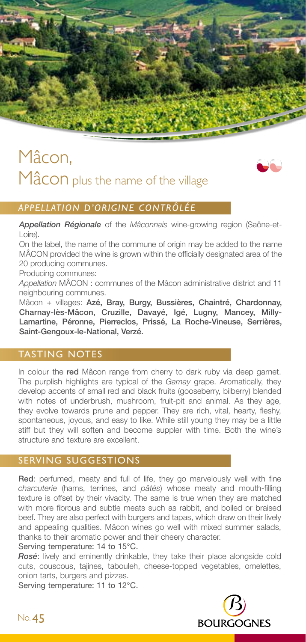

# Mâcon, Mâcon plus the name of the village



### *APPELLATION D'ORIGINE CONTRÔLÉE*

*Appellation Régionale* of the *Mâconnais* wine-growing region (Saône-et-Loire).

On the label, the name of the commune of origin may be added to the name MÂCON provided the wine is grown within the officially designated area of the 20 producing communes.

Producing communes:

*Appellation* MÂCON : communes of the Mâcon administrative district and 11 neighbouring communes.

Mâcon + villages: Azé, Bray, Burgy, Bussières, Chaintré, Chardonnay, Charnay-lès-Mâcon, Cruzille, Davayé, Igé, Lugny, Mancey, Milly-Lamartine, Péronne, Pierreclos, Prissé, La Roche-Vineuse, Serrières, Saint-Gengoux-le-National, Verzé.

### TASTING NOTES

In colour the red Mâcon range from cherry to dark ruby via deep garnet. The purplish highlights are typical of the *Gamay* grape. Aromatically, they develop accents of small red and black fruits (gooseberry, bilberry) blended with notes of underbrush, mushroom, fruit-pit and animal. As they age, they evolve towards prune and pepper. They are rich, vital, hearty, fleshy, spontaneous, joyous, and easy to like. While still young they may be a little stiff but they will soften and become suppler with time. Both the wine's structure and texture are excellent.

# SERVING SUGGESTIONS

Red: perfumed, meaty and full of life, they go marvelously well with fine *charcuterie* (hams, terrines, and *pâtés*) whose meaty and mouth-filling texture is offset by their vivacity. The same is true when they are matched with more fibrous and subtle meats such as rabbit, and boiled or braised beef. They are also perfect with burgers and tapas, which draw on their lively and appealing qualities. Mâcon wines go well with mixed summer salads, thanks to their aromatic power and their cheery character.

Serving temperature: 14 to 15°C.

*Rosé*: lively and eminently drinkable, they take their place alongside cold cuts, couscous, tajines, tabouleh, cheese-topped vegetables, omelettes, onion tarts, burgers and pizzas.

Serving temperature: 11 to 12°C.